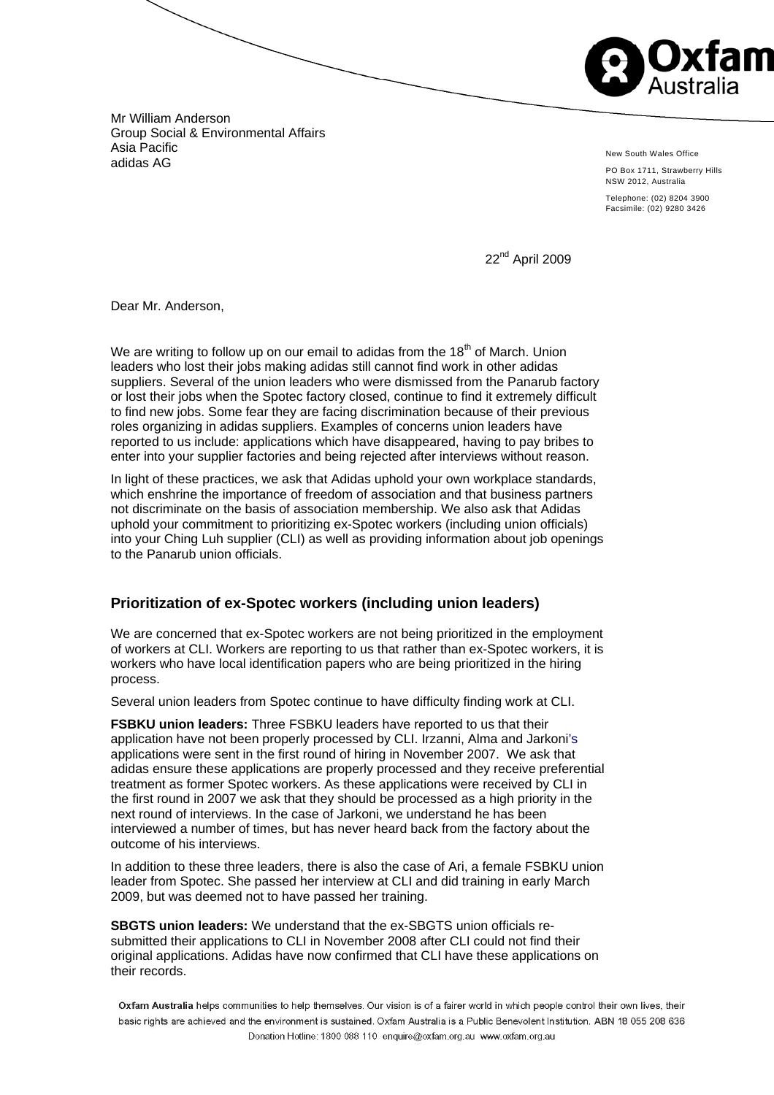m

Mr William Anderson Group Social & Environmental Affairs Asia Pacific adidas AG

New South Wales Office

PO Box 1711, Strawberry Hills NSW 2012, Australia

Telephone: (02) 8204 3900 Facsimile: (02) 9280 3426

22nd April 2009

Dear Mr. Anderson,

We are writing to follow up on our email to adidas from the  $18<sup>th</sup>$  of March. Union leaders who lost their jobs making adidas still cannot find work in other adidas suppliers. Several of the union leaders who were dismissed from the Panarub factory or lost their jobs when the Spotec factory closed, continue to find it extremely difficult to find new jobs. Some fear they are facing discrimination because of their previous roles organizing in adidas suppliers. Examples of concerns union leaders have reported to us include: applications which have disappeared, having to pay bribes to enter into your supplier factories and being rejected after interviews without reason.

In light of these practices, we ask that Adidas uphold your own workplace standards, which enshrine the importance of freedom of association and that business partners not discriminate on the basis of association membership. We also ask that Adidas uphold your commitment to prioritizing ex-Spotec workers (including union officials) into your Ching Luh supplier (CLI) as well as providing information about job openings to the Panarub union officials.

# **Prioritization of ex-Spotec workers (including union leaders)**

We are concerned that ex-Spotec workers are not being prioritized in the employment of workers at CLI. Workers are reporting to us that rather than ex-Spotec workers, it is workers who have local identification papers who are being prioritized in the hiring process.

Several union leaders from Spotec continue to have difficulty finding work at CLI.

**FSBKU union leaders:** Three FSBKU leaders have reported to us that their application have not been properly processed by CLI. Irzanni, Alma and Jarkoni's applications were sent in the first round of hiring in November 2007. We ask that adidas ensure these applications are properly processed and they receive preferential treatment as former Spotec workers. As these applications were received by CLI in the first round in 2007 we ask that they should be processed as a high priority in the next round of interviews. In the case of Jarkoni, we understand he has been interviewed a number of times, but has never heard back from the factory about the outcome of his interviews.

In addition to these three leaders, there is also the case of Ari, a female FSBKU union leader from Spotec. She passed her interview at CLI and did training in early March 2009, but was deemed not to have passed her training.

**SBGTS union leaders:** We understand that the ex-SBGTS union officials resubmitted their applications to CLI in November 2008 after CLI could not find their original applications. Adidas have now confirmed that CLI have these applications on their records.

Oxfam Australia helps communities to help themselves. Our vision is of a fairer world in which people control their own lives, their basic rights are achieved and the environment is sustained. Oxfam Australia is a Public Benevolent Institution. ABN 18 055 208 636 Donation Hotline: 1800 088 110 enquire@oxfam.org.au www.oxfam.org.au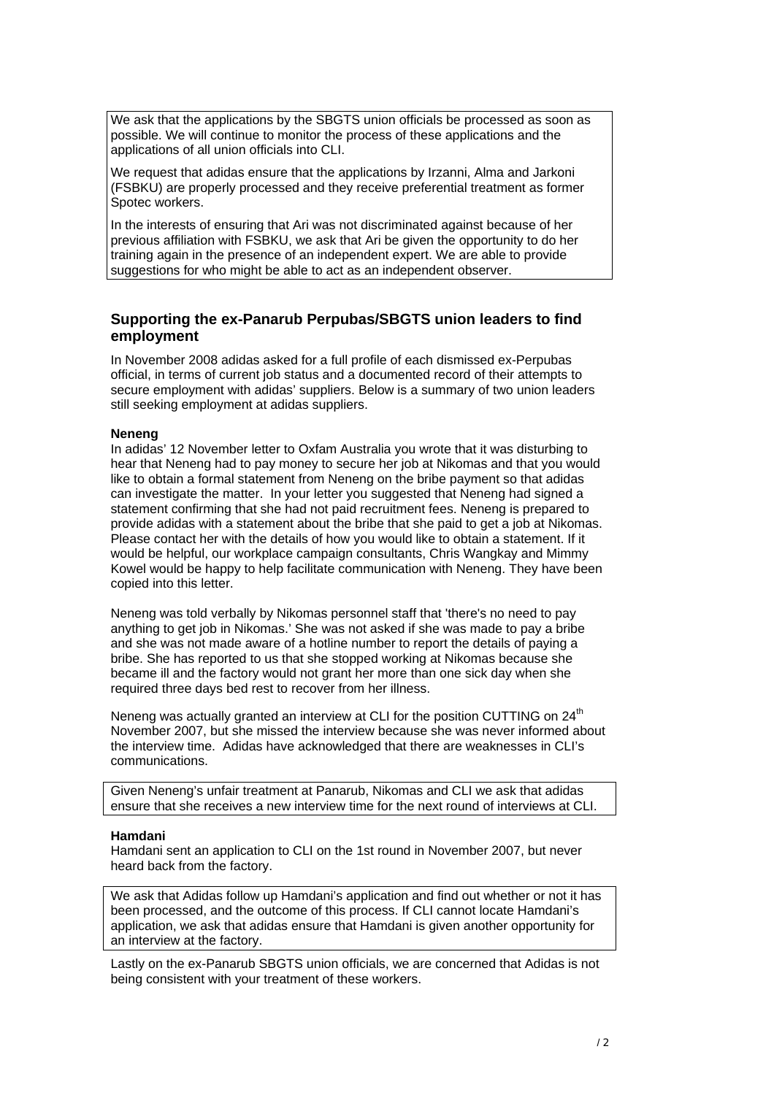We ask that the applications by the SBGTS union officials be processed as soon as possible. We will continue to monitor the process of these applications and the applications of all union officials into CLI.

We request that adidas ensure that the applications by Irzanni, Alma and Jarkoni (FSBKU) are properly processed and they receive preferential treatment as former Spotec workers.

In the interests of ensuring that Ari was not discriminated against because of her previous affiliation with FSBKU, we ask that Ari be given the opportunity to do her training again in the presence of an independent expert. We are able to provide suggestions for who might be able to act as an independent observer.

## **Supporting the ex-Panarub Perpubas/SBGTS union leaders to find employment**

In November 2008 adidas asked for a full profile of each dismissed ex-Perpubas official, in terms of current job status and a documented record of their attempts to secure employment with adidas' suppliers. Below is a summary of two union leaders still seeking employment at adidas suppliers.

#### **Neneng**

In adidas' 12 November letter to Oxfam Australia you wrote that it was disturbing to hear that Neneng had to pay money to secure her job at Nikomas and that you would like to obtain a formal statement from Neneng on the bribe payment so that adidas can investigate the matter. In your letter you suggested that Neneng had signed a statement confirming that she had not paid recruitment fees. Neneng is prepared to provide adidas with a statement about the bribe that she paid to get a job at Nikomas. Please contact her with the details of how you would like to obtain a statement. If it would be helpful, our workplace campaign consultants, Chris Wangkay and Mimmy Kowel would be happy to help facilitate communication with Neneng. They have been copied into this letter.

Neneng was told verbally by Nikomas personnel staff that 'there's no need to pay anything to get job in Nikomas.' She was not asked if she was made to pay a bribe and she was not made aware of a hotline number to report the details of paying a bribe. She has reported to us that she stopped working at Nikomas because she became ill and the factory would not grant her more than one sick day when she required three days bed rest to recover from her illness.

Neneng was actually granted an interview at CLI for the position CUTTING on  $24<sup>th</sup>$ November 2007, but she missed the interview because she was never informed about the interview time. Adidas have acknowledged that there are weaknesses in CLI's communications.

Given Neneng's unfair treatment at Panarub, Nikomas and CLI we ask that adidas ensure that she receives a new interview time for the next round of interviews at CLI.

#### **Hamdani**

Hamdani sent an application to CLI on the 1st round in November 2007, but never heard back from the factory.

We ask that Adidas follow up Hamdani's application and find out whether or not it has been processed, and the outcome of this process. If CLI cannot locate Hamdani's application, we ask that adidas ensure that Hamdani is given another opportunity for an interview at the factory.

Lastly on the ex-Panarub SBGTS union officials, we are concerned that Adidas is not being consistent with your treatment of these workers.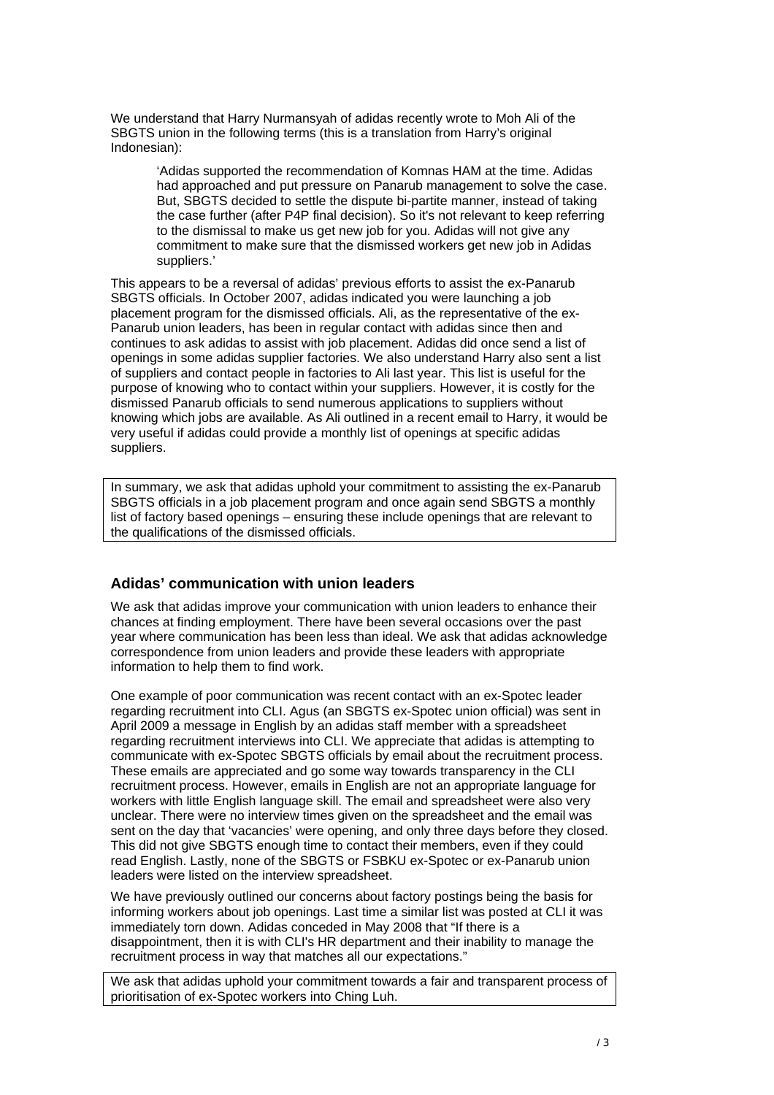We understand that Harry Nurmansyah of adidas recently wrote to Moh Ali of the SBGTS union in the following terms (this is a translation from Harry's original Indonesian):

'Adidas supported the recommendation of Komnas HAM at the time. Adidas had approached and put pressure on Panarub management to solve the case. But, SBGTS decided to settle the dispute bi-partite manner, instead of taking the case further (after P4P final decision). So it's not relevant to keep referring to the dismissal to make us get new job for you. Adidas will not give any commitment to make sure that the dismissed workers get new job in Adidas suppliers.'

This appears to be a reversal of adidas' previous efforts to assist the ex-Panarub SBGTS officials. In October 2007, adidas indicated you were launching a job placement program for the dismissed officials. Ali, as the representative of the ex-Panarub union leaders, has been in regular contact with adidas since then and continues to ask adidas to assist with job placement. Adidas did once send a list of openings in some adidas supplier factories. We also understand Harry also sent a list of suppliers and contact people in factories to Ali last year. This list is useful for the purpose of knowing who to contact within your suppliers. However, it is costly for the dismissed Panarub officials to send numerous applications to suppliers without knowing which jobs are available. As Ali outlined in a recent email to Harry, it would be very useful if adidas could provide a monthly list of openings at specific adidas suppliers.

In summary, we ask that adidas uphold your commitment to assisting the ex-Panarub SBGTS officials in a job placement program and once again send SBGTS a monthly list of factory based openings – ensuring these include openings that are relevant to the qualifications of the dismissed officials.

## **Adidas' communication with union leaders**

We ask that adidas improve your communication with union leaders to enhance their chances at finding employment. There have been several occasions over the past year where communication has been less than ideal. We ask that adidas acknowledge correspondence from union leaders and provide these leaders with appropriate information to help them to find work.

One example of poor communication was recent contact with an ex-Spotec leader regarding recruitment into CLI. Agus (an SBGTS ex-Spotec union official) was sent in April 2009 a message in English by an adidas staff member with a spreadsheet regarding recruitment interviews into CLI. We appreciate that adidas is attempting to communicate with ex-Spotec SBGTS officials by email about the recruitment process. These emails are appreciated and go some way towards transparency in the CLI recruitment process. However, emails in English are not an appropriate language for workers with little English language skill. The email and spreadsheet were also very unclear. There were no interview times given on the spreadsheet and the email was sent on the day that 'vacancies' were opening, and only three days before they closed. This did not give SBGTS enough time to contact their members, even if they could read English. Lastly, none of the SBGTS or FSBKU ex-Spotec or ex-Panarub union leaders were listed on the interview spreadsheet.

We have previously outlined our concerns about factory postings being the basis for informing workers about job openings. Last time a similar list was posted at CLI it was immediately torn down. Adidas conceded in May 2008 that "If there is a disappointment, then it is with CLI's HR department and their inability to manage the recruitment process in way that matches all our expectations."

We ask that adidas uphold your commitment towards a fair and transparent process of prioritisation of ex-Spotec workers into Ching Luh.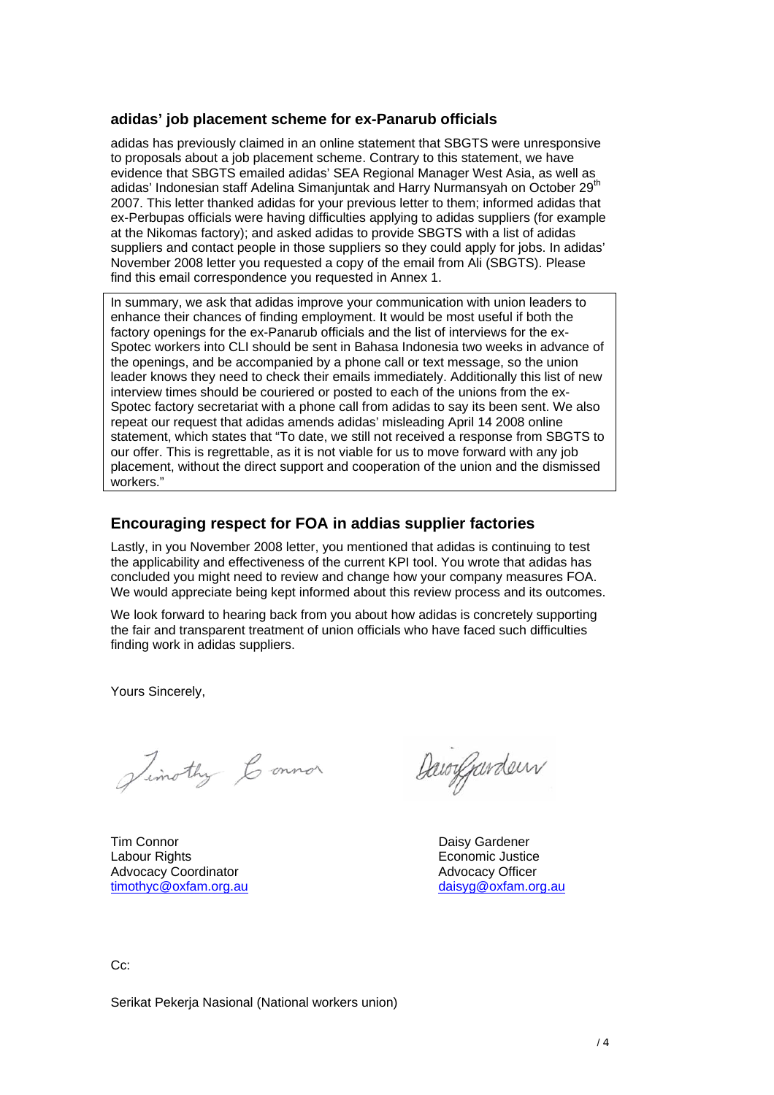### **adidas' job placement scheme for ex-Panarub officials**

adidas has previously claimed in an online statement that SBGTS were unresponsive to proposals about a job placement scheme. Contrary to this statement, we have evidence that SBGTS emailed adidas' SEA Regional Manager West Asia, as well as adidas' Indonesian staff Adelina Simanjuntak and Harry Nurmansyah on October 29<sup>th</sup> 2007. This letter thanked adidas for your previous letter to them; informed adidas that ex-Perbupas officials were having difficulties applying to adidas suppliers (for example at the Nikomas factory); and asked adidas to provide SBGTS with a list of adidas suppliers and contact people in those suppliers so they could apply for jobs. In adidas' November 2008 letter you requested a copy of the email from Ali (SBGTS). Please find this email correspondence you requested in Annex 1.

In summary, we ask that adidas improve your communication with union leaders to enhance their chances of finding employment. It would be most useful if both the factory openings for the ex-Panarub officials and the list of interviews for the ex-Spotec workers into CLI should be sent in Bahasa Indonesia two weeks in advance of the openings, and be accompanied by a phone call or text message, so the union leader knows they need to check their emails immediately. Additionally this list of new interview times should be couriered or posted to each of the unions from the ex-Spotec factory secretariat with a phone call from adidas to say its been sent. We also repeat our request that adidas amends adidas' misleading April 14 2008 online statement, which states that "To date, we still not received a response from SBGTS to our offer. This is regrettable, as it is not viable for us to move forward with any job placement, without the direct support and cooperation of the union and the dismissed workers."

# **Encouraging respect for FOA in addias supplier factories**

Lastly, in you November 2008 letter, you mentioned that adidas is continuing to test the applicability and effectiveness of the current KPI tool. You wrote that adidas has concluded you might need to review and change how your company measures FOA. We would appreciate being kept informed about this review process and its outcomes.

We look forward to hearing back from you about how adidas is concretely supporting the fair and transparent treatment of union officials who have faced such difficulties finding work in adidas suppliers.

Yours Sincerely,

Simothy Connor

Tim Connor **Daisy Gardener** Labour Rights Economic Justice Advocacy Coordinator **Advocacy Officer** Advocacy Officer timothyc@oxfam.org.au daisyg@oxfam.org.au

Dawygarden

 $C_{\mathbb{C}}$ :

Serikat Pekerja Nasional (National workers union)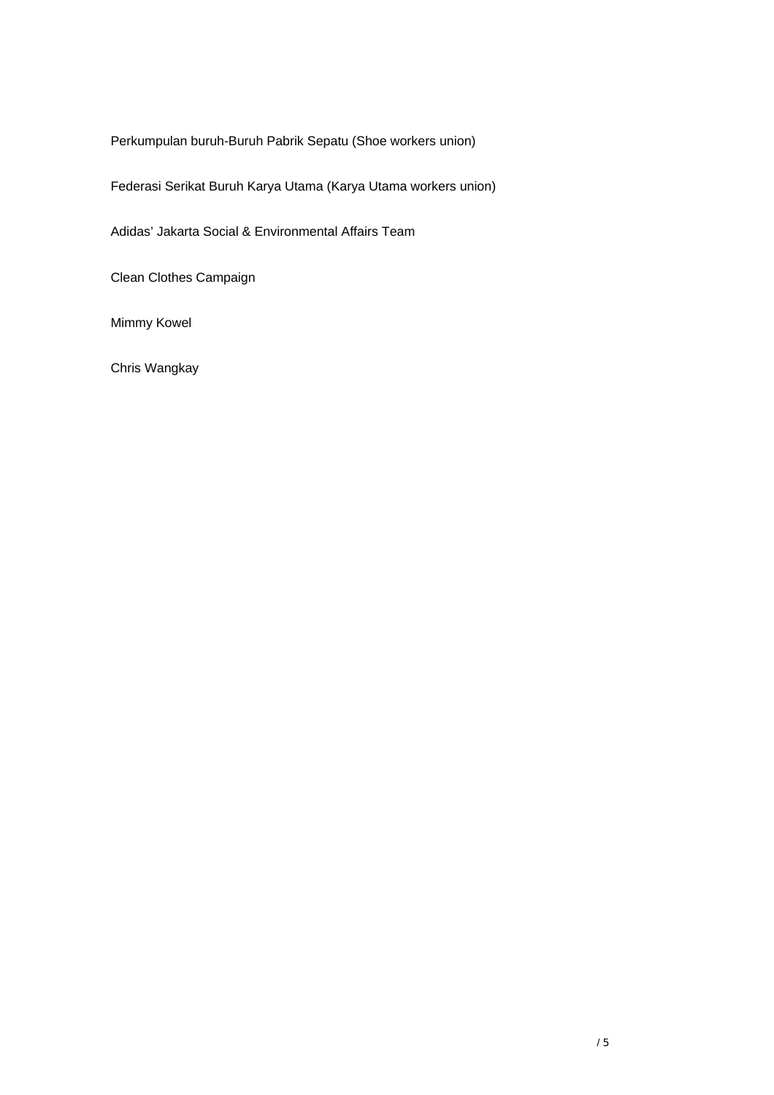Perkumpulan buruh-Buruh Pabrik Sepatu (Shoe workers union)

Federasi Serikat Buruh Karya Utama (Karya Utama workers union)

Adidas' Jakarta Social & Environmental Affairs Team

Clean Clothes Campaign

Mimmy Kowel

Chris Wangkay